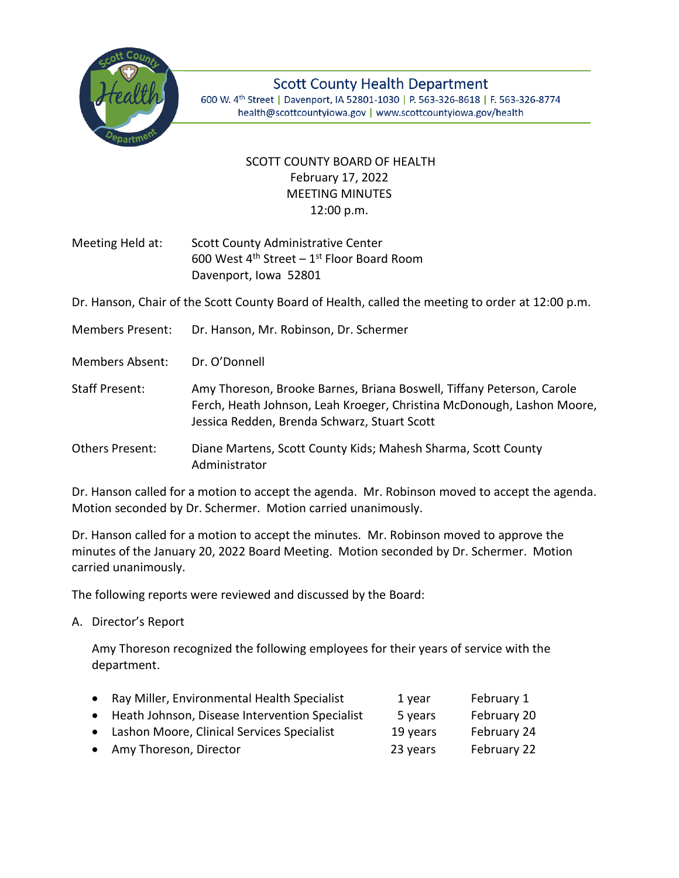

**Scott County Health Department** 600 W. 4th Street | Davenport, IA 52801-1030 | P. 563-326-8618 | F. 563-326-8774 health@scottcountyiowa.gov | www.scottcountyiowa.gov/health

## SCOTT COUNTY BOARD OF HEALTH February 17, 2022 MEETING MINUTES 12:00 p.m.

Meeting Held at: Scott County Administrative Center 600 West  $4^{\text{th}}$  Street – 1st Floor Board Room Davenport, Iowa 52801

Dr. Hanson, Chair of the Scott County Board of Health, called the meeting to order at 12:00 p.m.

Members Present: Dr. Hanson, Mr. Robinson, Dr. Schermer

Members Absent: Dr. O'Donnell

Staff Present: Amy Thoreson, Brooke Barnes, Briana Boswell, Tiffany Peterson, Carole Ferch, Heath Johnson, Leah Kroeger, Christina McDonough, Lashon Moore, Jessica Redden, Brenda Schwarz, Stuart Scott

Others Present: Diane Martens, Scott County Kids; Mahesh Sharma, Scott County Administrator

Dr. Hanson called for a motion to accept the agenda. Mr. Robinson moved to accept the agenda. Motion seconded by Dr. Schermer. Motion carried unanimously.

Dr. Hanson called for a motion to accept the minutes. Mr. Robinson moved to approve the minutes of the January 20, 2022 Board Meeting. Motion seconded by Dr. Schermer. Motion carried unanimously.

The following reports were reviewed and discussed by the Board:

A. Director's Report

Amy Thoreson recognized the following employees for their years of service with the department.

| • Ray Miller, Environmental Health Specialist    | 1 year   | February 1  |
|--------------------------------------------------|----------|-------------|
| • Heath Johnson, Disease Intervention Specialist | 5 years  | February 20 |
| • Lashon Moore, Clinical Services Specialist     | 19 years | February 24 |
| • Amy Thoreson, Director                         | 23 years | February 22 |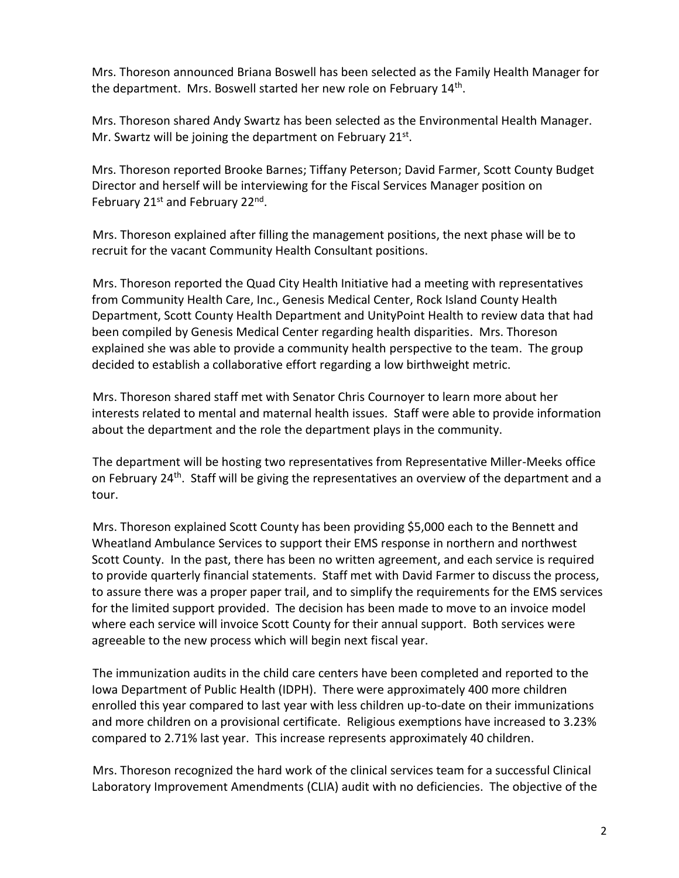Mrs. Thoreson announced Briana Boswell has been selected as the Family Health Manager for the department. Mrs. Boswell started her new role on February 14<sup>th</sup>.

Mrs. Thoreson shared Andy Swartz has been selected as the Environmental Health Manager. Mr. Swartz will be joining the department on February 21st.

Mrs. Thoreson reported Brooke Barnes; Tiffany Peterson; David Farmer, Scott County Budget Director and herself will be interviewing for the Fiscal Services Manager position on February 21<sup>st</sup> and February 22<sup>nd</sup>.

Mrs. Thoreson explained after filling the management positions, the next phase will be to recruit for the vacant Community Health Consultant positions.

Mrs. Thoreson reported the Quad City Health Initiative had a meeting with representatives from Community Health Care, Inc., Genesis Medical Center, Rock Island County Health Department, Scott County Health Department and UnityPoint Health to review data that had been compiled by Genesis Medical Center regarding health disparities. Mrs. Thoreson explained she was able to provide a community health perspective to the team. The group decided to establish a collaborative effort regarding a low birthweight metric.

Mrs. Thoreson shared staff met with Senator Chris Cournoyer to learn more about her interests related to mental and maternal health issues. Staff were able to provide information about the department and the role the department plays in the community.

The department will be hosting two representatives from Representative Miller-Meeks office on February 24<sup>th</sup>. Staff will be giving the representatives an overview of the department and a tour.

Mrs. Thoreson explained Scott County has been providing \$5,000 each to the Bennett and Wheatland Ambulance Services to support their EMS response in northern and northwest Scott County. In the past, there has been no written agreement, and each service is required to provide quarterly financial statements. Staff met with David Farmer to discuss the process, to assure there was a proper paper trail, and to simplify the requirements for the EMS services for the limited support provided. The decision has been made to move to an invoice model where each service will invoice Scott County for their annual support. Both services were agreeable to the new process which will begin next fiscal year.

The immunization audits in the child care centers have been completed and reported to the Iowa Department of Public Health (IDPH). There were approximately 400 more children enrolled this year compared to last year with less children up-to-date on their immunizations and more children on a provisional certificate. Religious exemptions have increased to 3.23% compared to 2.71% last year. This increase represents approximately 40 children.

Mrs. Thoreson recognized the hard work of the clinical services team for a successful Clinical Laboratory Improvement Amendments (CLIA) audit with no deficiencies. The objective of the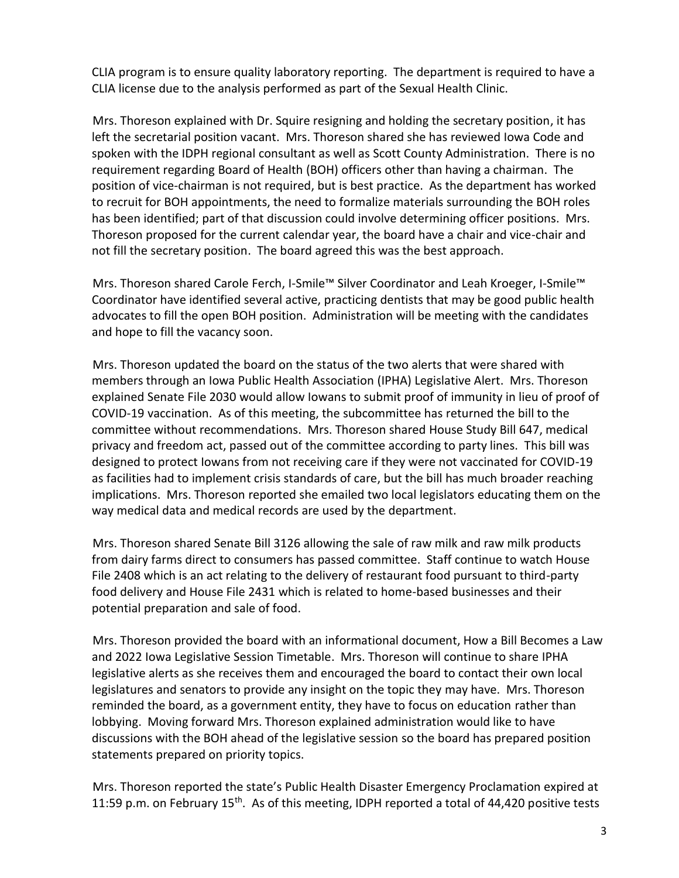CLIA program is to ensure quality laboratory reporting. The department is required to have a CLIA license due to the analysis performed as part of the Sexual Health Clinic.

Mrs. Thoreson explained with Dr. Squire resigning and holding the secretary position, it has left the secretarial position vacant. Mrs. Thoreson shared she has reviewed Iowa Code and spoken with the IDPH regional consultant as well as Scott County Administration. There is no requirement regarding Board of Health (BOH) officers other than having a chairman. The position of vice-chairman is not required, but is best practice. As the department has worked to recruit for BOH appointments, the need to formalize materials surrounding the BOH roles has been identified; part of that discussion could involve determining officer positions. Mrs. Thoreson proposed for the current calendar year, the board have a chair and vice-chair and not fill the secretary position. The board agreed this was the best approach.

Mrs. Thoreson shared Carole Ferch, I-Smile™ Silver Coordinator and Leah Kroeger, I-Smile™ Coordinator have identified several active, practicing dentists that may be good public health advocates to fill the open BOH position. Administration will be meeting with the candidates and hope to fill the vacancy soon.

Mrs. Thoreson updated the board on the status of the two alerts that were shared with members through an Iowa Public Health Association (IPHA) Legislative Alert. Mrs. Thoreson explained Senate File 2030 would allow Iowans to submit proof of immunity in lieu of proof of COVID-19 vaccination. As of this meeting, the subcommittee has returned the bill to the committee without recommendations. Mrs. Thoreson shared House Study Bill 647, medical privacy and freedom act, passed out of the committee according to party lines. This bill was designed to protect Iowans from not receiving care if they were not vaccinated for COVID-19 as facilities had to implement crisis standards of care, but the bill has much broader reaching implications. Mrs. Thoreson reported she emailed two local legislators educating them on the way medical data and medical records are used by the department.

Mrs. Thoreson shared Senate Bill 3126 allowing the sale of raw milk and raw milk products from dairy farms direct to consumers has passed committee. Staff continue to watch House File 2408 which is an act relating to the delivery of restaurant food pursuant to third-party food delivery and House File 2431 which is related to home-based businesses and their potential preparation and sale of food.

Mrs. Thoreson provided the board with an informational document, How a Bill Becomes a Law and 2022 Iowa Legislative Session Timetable. Mrs. Thoreson will continue to share IPHA legislative alerts as she receives them and encouraged the board to contact their own local legislatures and senators to provide any insight on the topic they may have. Mrs. Thoreson reminded the board, as a government entity, they have to focus on education rather than lobbying. Moving forward Mrs. Thoreson explained administration would like to have discussions with the BOH ahead of the legislative session so the board has prepared position statements prepared on priority topics.

Mrs. Thoreson reported the state's Public Health Disaster Emergency Proclamation expired at 11:59 p.m. on February 15<sup>th</sup>. As of this meeting, IDPH reported a total of 44,420 positive tests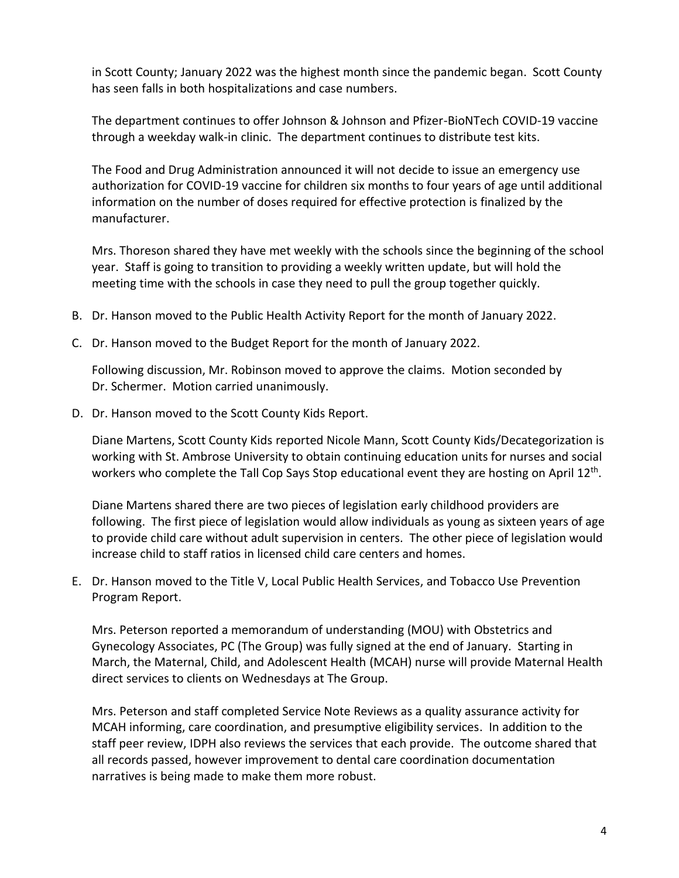in Scott County; January 2022 was the highest month since the pandemic began. Scott County has seen falls in both hospitalizations and case numbers.

The department continues to offer Johnson & Johnson and Pfizer-BioNTech COVID-19 vaccine through a weekday walk-in clinic. The department continues to distribute test kits.

The Food and Drug Administration announced it will not decide to issue an emergency use authorization for COVID-19 vaccine for children six months to four years of age until additional information on the number of doses required for effective protection is finalized by the manufacturer.

Mrs. Thoreson shared they have met weekly with the schools since the beginning of the school year. Staff is going to transition to providing a weekly written update, but will hold the meeting time with the schools in case they need to pull the group together quickly.

- B. Dr. Hanson moved to the Public Health Activity Report for the month of January 2022.
- C. Dr. Hanson moved to the Budget Report for the month of January 2022.

Following discussion, Mr. Robinson moved to approve the claims. Motion seconded by Dr. Schermer. Motion carried unanimously.

D. Dr. Hanson moved to the Scott County Kids Report.

Diane Martens, Scott County Kids reported Nicole Mann, Scott County Kids/Decategorization is working with St. Ambrose University to obtain continuing education units for nurses and social workers who complete the Tall Cop Says Stop educational event they are hosting on April 12<sup>th</sup>.

Diane Martens shared there are two pieces of legislation early childhood providers are following. The first piece of legislation would allow individuals as young as sixteen years of age to provide child care without adult supervision in centers. The other piece of legislation would increase child to staff ratios in licensed child care centers and homes.

E. Dr. Hanson moved to the Title V, Local Public Health Services, and Tobacco Use Prevention Program Report.

Mrs. Peterson reported a memorandum of understanding (MOU) with Obstetrics and Gynecology Associates, PC (The Group) was fully signed at the end of January. Starting in March, the Maternal, Child, and Adolescent Health (MCAH) nurse will provide Maternal Health direct services to clients on Wednesdays at The Group.

Mrs. Peterson and staff completed Service Note Reviews as a quality assurance activity for MCAH informing, care coordination, and presumptive eligibility services. In addition to the staff peer review, IDPH also reviews the services that each provide. The outcome shared that all records passed, however improvement to dental care coordination documentation narratives is being made to make them more robust.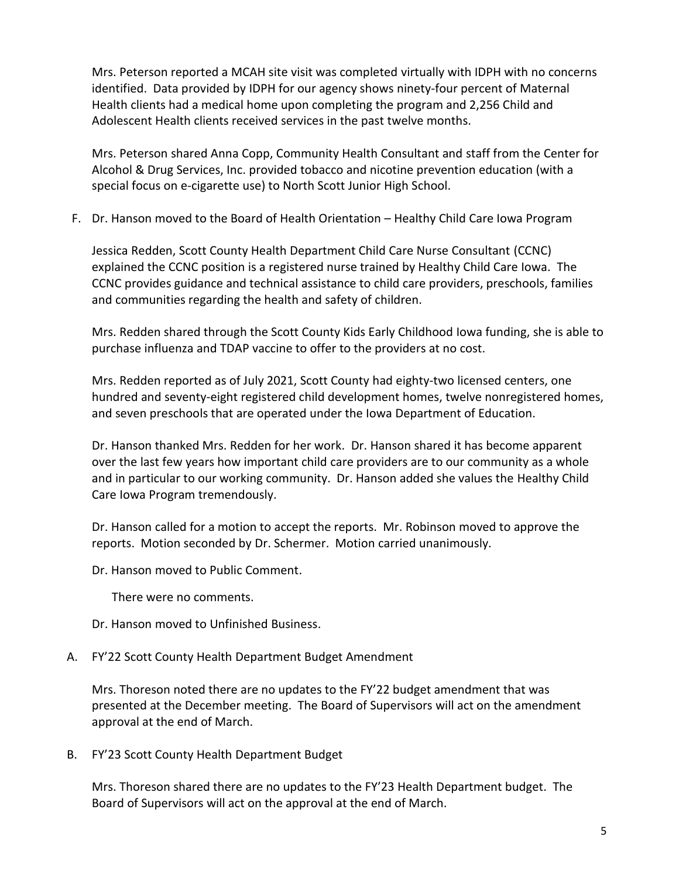Mrs. Peterson reported a MCAH site visit was completed virtually with IDPH with no concerns identified. Data provided by IDPH for our agency shows ninety-four percent of Maternal Health clients had a medical home upon completing the program and 2,256 Child and Adolescent Health clients received services in the past twelve months.

Mrs. Peterson shared Anna Copp, Community Health Consultant and staff from the Center for Alcohol & Drug Services, Inc. provided tobacco and nicotine prevention education (with a special focus on e-cigarette use) to North Scott Junior High School.

F. Dr. Hanson moved to the Board of Health Orientation – Healthy Child Care Iowa Program

Jessica Redden, Scott County Health Department Child Care Nurse Consultant (CCNC) explained the CCNC position is a registered nurse trained by Healthy Child Care Iowa. The CCNC provides guidance and technical assistance to child care providers, preschools, families and communities regarding the health and safety of children.

Mrs. Redden shared through the Scott County Kids Early Childhood Iowa funding, she is able to purchase influenza and TDAP vaccine to offer to the providers at no cost.

Mrs. Redden reported as of July 2021, Scott County had eighty-two licensed centers, one hundred and seventy-eight registered child development homes, twelve nonregistered homes, and seven preschools that are operated under the Iowa Department of Education.

Dr. Hanson thanked Mrs. Redden for her work. Dr. Hanson shared it has become apparent over the last few years how important child care providers are to our community as a whole and in particular to our working community. Dr. Hanson added she values the Healthy Child Care Iowa Program tremendously.

Dr. Hanson called for a motion to accept the reports. Mr. Robinson moved to approve the reports. Motion seconded by Dr. Schermer. Motion carried unanimously.

Dr. Hanson moved to Public Comment.

There were no comments.

Dr. Hanson moved to Unfinished Business.

A. FY'22 Scott County Health Department Budget Amendment

Mrs. Thoreson noted there are no updates to the FY'22 budget amendment that was presented at the December meeting. The Board of Supervisors will act on the amendment approval at the end of March.

B. FY'23 Scott County Health Department Budget

Mrs. Thoreson shared there are no updates to the FY'23 Health Department budget. The Board of Supervisors will act on the approval at the end of March.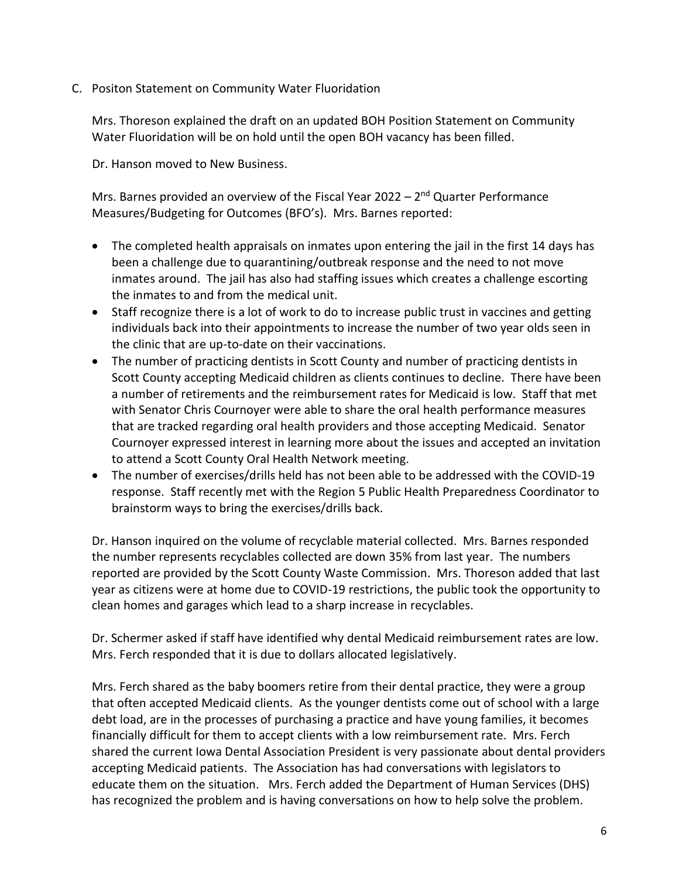C. Positon Statement on Community Water Fluoridation

Mrs. Thoreson explained the draft on an updated BOH Position Statement on Community Water Fluoridation will be on hold until the open BOH vacancy has been filled.

Dr. Hanson moved to New Business.

Mrs. Barnes provided an overview of the Fiscal Year 2022 - 2<sup>nd</sup> Quarter Performance Measures/Budgeting for Outcomes (BFO's). Mrs. Barnes reported:

- The completed health appraisals on inmates upon entering the jail in the first 14 days has been a challenge due to quarantining/outbreak response and the need to not move inmates around. The jail has also had staffing issues which creates a challenge escorting the inmates to and from the medical unit.
- Staff recognize there is a lot of work to do to increase public trust in vaccines and getting individuals back into their appointments to increase the number of two year olds seen in the clinic that are up-to-date on their vaccinations.
- The number of practicing dentists in Scott County and number of practicing dentists in Scott County accepting Medicaid children as clients continues to decline. There have been a number of retirements and the reimbursement rates for Medicaid is low. Staff that met with Senator Chris Cournoyer were able to share the oral health performance measures that are tracked regarding oral health providers and those accepting Medicaid. Senator Cournoyer expressed interest in learning more about the issues and accepted an invitation to attend a Scott County Oral Health Network meeting.
- The number of exercises/drills held has not been able to be addressed with the COVID-19 response. Staff recently met with the Region 5 Public Health Preparedness Coordinator to brainstorm ways to bring the exercises/drills back.

Dr. Hanson inquired on the volume of recyclable material collected. Mrs. Barnes responded the number represents recyclables collected are down 35% from last year. The numbers reported are provided by the Scott County Waste Commission. Mrs. Thoreson added that last year as citizens were at home due to COVID-19 restrictions, the public took the opportunity to clean homes and garages which lead to a sharp increase in recyclables.

Dr. Schermer asked if staff have identified why dental Medicaid reimbursement rates are low. Mrs. Ferch responded that it is due to dollars allocated legislatively.

Mrs. Ferch shared as the baby boomers retire from their dental practice, they were a group that often accepted Medicaid clients. As the younger dentists come out of school with a large debt load, are in the processes of purchasing a practice and have young families, it becomes financially difficult for them to accept clients with a low reimbursement rate. Mrs. Ferch shared the current Iowa Dental Association President is very passionate about dental providers accepting Medicaid patients. The Association has had conversations with legislators to educate them on the situation. Mrs. Ferch added the Department of Human Services (DHS) has recognized the problem and is having conversations on how to help solve the problem.